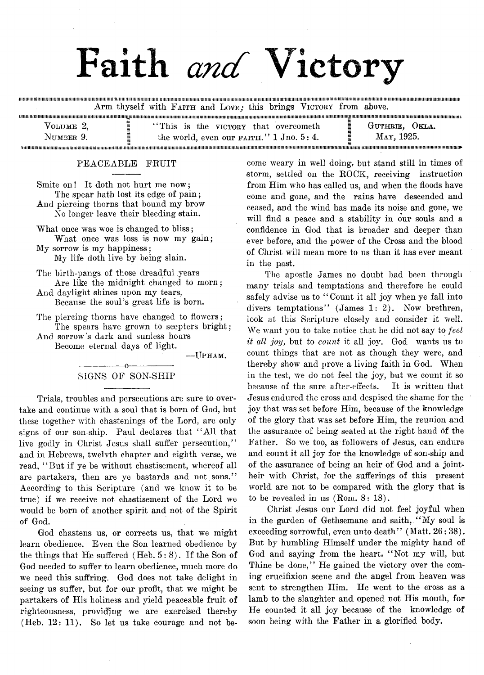# Faith *and* Victory

iiuiuiiitM iiiiM itiiiuiiiiiiiiiiuuiituiiiiiii!niiiiiiniiiiiiiiiiiiM iiiiiM iiiuiiiM iiiiifiii!iiniiiiiiN iiiiniiiiiiiH iuiM iiini!iiiM iiiiiiH inniiitiiiiniiinitiiiiiiitniiiniiiiM tuiiiniitM iiiiiiniiiiniiiiiitttituiiiiiiiuitiiiuiM itiiiiiiiiiiiiiitft(iititiiium itiiiiiim im uiim tiiuittii(i Arm thyself with FAITH and LOVE: this brings VICTORY from above.

| VOLUME 2.<br>$\sim$ | "This is the victory that overcometh"<br>-                                | ()KLA.<br>GUTHRIE. |
|---------------------|---------------------------------------------------------------------------|--------------------|
| NUMBER 9.           | -<br>the world, even our $F_A$ <sup>1</sup> $\ldots$ 3: 4.<br>-<br>$\sim$ | MAY. 1925.         |
|                     |                                                                           |                    |

umiiiminiiiiiiimiimiiiiiiiiiiiiiiiiiiiiii!iiimiimiiiumimiiiiimiiiiimiiiiiMiiiiiiiiii!iiMiimiNiiiiiiiiHiiiimiiiiMiiiiiiHiiiiMiiimH(iiimimuiinimiiiiiimiiiiHiiiiiiHUiininHiiiiiiiiiiinuiiiiiimtiiiiiiiuiiiiuiiHiniHiiiiiiiiniiuiiiiiHiuiiiiiiiiiii!iiiiuiiiiiiiiiiun

#### PEACEABLE FRUIT

Smite on! It doth not hurt me now; The spear hath lost its edge of pain; And piercing thorns that bound my brow No longer leave their bleeding stain.

What once was woe is changed to bliss; What once was loss is now my gain;

My sorrow is my happiness; My life doth live by being slain.

- The birth-pangs, of those dreadful years Are like the midnight changed to morn; And daylight shines upon my tears,
- Because the soul's great life is born.

The piercing thorns have changed to flowers; The spears have grown to scepters bright;

And sorrow's dark and sunless hours Become eternal days of light.

— Upham.

#### --------- -------o----------------- SIGNS OF SON-SHIP

Trials, troubles and persecutions are sure to overtake and continue with a soul that is born of God, but these together with chastenings of the Lord, are only signs of our son-ship. Paul declares that " All that live godly in Christ Jesus shall suffer persecution," and in Hebrews, twelvth chapter and eighth verse, we read, "But if ye be without chastisement, whereof all are partakers, then are ye bastards and not sons." According to this Scripture (and we know it to be true) if we receive not chastisement of the Lord we would be born of another spirit and not of the Spirit of God.

God chastens us, or corrects us, that we might learn obedience. Even the Son learned obedience by the things that He suffered  $(Heb. 5:8)$ . If the Son of God needed to suffer to learn obedience, much more do we need this suffring. God does not take delight in seeing us suffer, but for our profit, that we might be partakers of His holiness and yield peaceable fruit of righteousness, providing we are exercised thereby (Heb. 12: 11). So let us take courage and not be-

come weary in well doing, but stand still in times of storm, settled on the ROCK, receiving instruction from Him who has called us, and when the floods have come and gone, and the rains have descended and ceased, and the wind has made its noise and gone, we will find a peace and a stability in our souls and a confidence in God that is broader and deeper than ever before, and the power of the Cross and the blood of Christ will mean more to us than it has ever meant in the past.

The apostle James no doubt had been through many trials and temptations and therefore he could safely advise us to "Count it all joy when ye fall into divers temptations" (James 1: 2). Now brethren, look at this Scripture closely and consider it well. We want you to take notice that he did not say to *feel it all joy*, but to *count* it all joy. God wants us to count things that are not as though they were, and thereby show and prove a living faith in God. When in the test, we do not feel the joy, but we count it so because of the sure after-effects. It is written that Jesus endured the cross and despised the shame for the joy that was set before Him, because of the knowledge of the glory that was set before Him, the reunion and the assurance of being seated at the right hand of the Father. So we too, as followers of Jesus, can endure and count it all joy for the knowledge of son-ship and of the assurance of being an heir of God and a jointheir with Christ, for the sufferings of this present world are not to be compared with the glory that is to be revealed in us  $(Rom. 8: 18)$ .

Christ Jesus our Lord did not feel joyful when in the garden of Gethsemane and saith, " My soul is exceeding sorrowful, even unto death" (Matt. 26:38). But by humbling Himself under the mighty hand of God and saying from the heart, " Not my will, but Thine be done," He gained the victory over the coming crucifixion scene and the angel from heaven was sent to strengthen Him. He went to the cross as a lamb to the slaughter and opened not His mouth, for He counted it all joy because of the knowledge of soon being with the Father in a glorified body.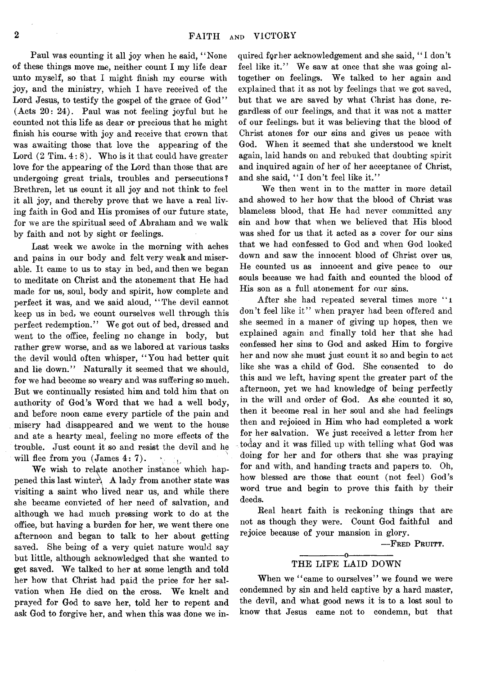Paul was counting it all joy when he said, " None of these things move me, neither count I my life dear unto myself, so that I might finish my course with joy, and the ministry, which I have received of the Lord Jesus, to testify the gospel of the grace of God" (Acts 20: 24). Paul was not feeling joyful but he counted not this life as dear or precious that he might finish his course with joy and receive that crown that was awaiting those that love the appearing of the Lord  $(2$  Tim.  $4:8$ ). Who is it that could have greater love for the appearing of the Lord than those that are undergoing great trials, troubles and persecutions? Brethren, let us count it all joy and not think to feel it all joy, and thereby prove that we have a real living faith in God and His promises of our future state, for we are the spiritual seed of Abraham and we walk by faith and not by sight or feelings.

Last week we awoke in the morning with aches and pains in our body and felt very weak and miserable. It came to us to stay in bed, and then we began to meditate on Christ and the atonement that He had made for us, soul, body and spirit, how complete and perfect it was, and we said aloud, " The devil cannot keep us in bed, we count ourselves well through this perfect redemption." We got out of bed, dressed and went to the office, feeling no change in body, but rather grew worse, and as we labored at various tasks the devil would often whisper, "You had better quit and lie down." Naturally it seemed that we should, for we had become so weary and was suffering so much. But we continually resisted him and told him that on authority of God's Word that we had a well body, and before noon came every particle of the pain and misery had disappeared and we went to the house and ate a hearty meal, feeling no more effects of the trouble. Just count it so and resist the devil and he will flee from you (James 4: 7).

We wish to relate another instance which happened this last winter. A lady from another state was visiting a saint who lived near us, and while there she became convicted of her need of salvation, and although we had much pressing work to do at the office, but having a burden for her, we went there one afternoon and began to talk to her about getting saved. She being of a very quiet nature would say but little, although acknowledged that she wanted to get saved. We talked to her at some length and told her how that Christ had paid the price for her salvation when He died on the cross. We knelt and prayed for God to save her, told her to repent and ask God to forgive her, and when this was done we inquired for her acknowledgement and she said, "I don't feel like it." We saw at once that she was going altogether on feelings. We talked to her again and explained that it as not by feelings that we got saved, but that we are saved by what Christ has done, regardless of our feelings, and that it was not a matter of our feelings, but it was believing that the blood of Christ atones for our sins and gives us peace with God. When it seemed that she understood we knelt again, laid hands on and rebuked that doubting spirit and inquired again of her of her acceptance of Christ, and she said, "I don't feel like it."

We then went in to the matter in more detail and showed to her how that the blood of Christ was blameless blood, that He had never committed any sin and how that when we believed that His blood was shed for us that it acted as a cover for our sins that we had confessed to God and when God looked down and saw the innocent blood of Christ over us, He counted us as innocent and give peace to our souls because we had faith and counted the blood of His son as a full atonement for our sins.

After she had repeated several times more "1 don't feel like it" when prayer had been offered and she seemed in a maner of giving up hopes, then we explained again and finally told her that she had confessed her sins to God and asked Him to forgive her and now she must just count it so and begin to act like she was a child of God. She consented to do this and we left, having spent the greater part of the afternoon, yet we had knowledge of being perfectly in the will and order of God. As she counted it so, then it become real in her soul and she had feelings then and rejoiced in Him who had completed a work for her salvation. We just received a letter from her today and it was filled up with telling what God was doing for her and for others that she was praying for and with, and handing tracts and papers to. Oh, how blessed are those that count (not feel) God's word true and begin to prove this faith by their deeds.

Real heart faith is reckoning things that are not as though they were. Count God faithful and rejoice because of your mansion in glory.

— F red Pruitt.

#### ---------------- o----------------- THE LIFE LAID DOWN

When we "came to ourselves" we found we were condemned by sin and held captive by a hard master, the devil, and what good news it is to a lost soul to know that Jesus came not to condemn, but that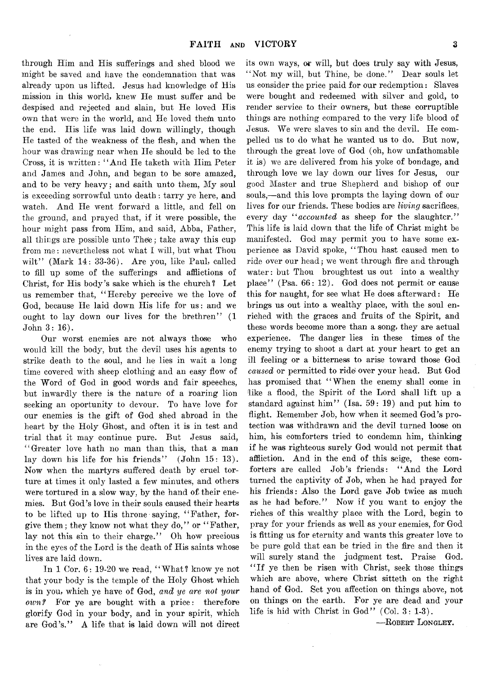through Him and His sufferings and shed blood we might be saved and have the condemnation that was already upon us lifted. Jesus had knowledge of His mission in this world, knew He must suffer and be despised and rejected and slain, but He loved His own that were in the world, and He loved them unto the end. His life was laid down willingly, though He tasted of the weakness of the flesh, and when the hour was drawing near when He should be led to the Cross, it is written: ' ' And He taketh with Him Peter and James and John, and began to be sore amazed, and to be very heavy; and saith unto them, My soul is exceeding sorrowful unto death: tarry ye here, and watch. And He went forward a little, and fell on the ground, and prayed that, if it were possible, the hour might pass from Him, and said, Abba, Father, all things are possible unto Thee; take away this cup from me: nevertheless not what I will, but what Thou wilt" (Mark 14: 33-36). Are you, like Paul, called to fill up some of the sufferings and afflictions of Christ, for His body's sake which is the church ? Let us remember that, "Hereby perceive we the love of God, because He laid down His life for us: and we ought to lay down our lives for the brethren" (1 John  $3:16$ ).

Our worst enemies are not always those who would kill the body, but the devil uses his agents to strike death to the soul, and he lies in wait a long time covered with sheep clothing and an easy flow of the Word of God in good words and fair speeches, but inwardly there is the nature of a roaring lion seeking an oportunity to devour. To have love for our enemies is the gift of God shed abroad in the heart by the Holy Ghost, and often it is in test and trial that it may continue pure. But Jesus said, " Greater love hath no man than this, that a man lay down his life for his friends" (John 15: 13). Now when the martyrs suffered death by cruel torture at times it only lasted a few minutes, and others were tortured in a slow way, by the hand of their enemies. But God's love in their souls caused their hearts to be lifted up to His throne saying, "Father, forgive them; they know not what they do," or " Father, lay not this sin to their charge." Oh how precious in the eyes of the Lord is the death of His saints whose lives are laid down.

In 1 Cor. 6: 19-20 we read, "What? know ye not that your body is the temple of the Holy Ghost which is in you, which ye have of God, *and ye are not your oivnf* For ye are bought with a price: therefore glorify God in your body, and in your spirit, which are God's." A life that is laid down will not direct

its own ways, or will, but does truly say with Jesus, " Not my will, but Thine, be done." Dear souls let us consider the price paid for our redemption: Slaves were bought and redeemed with silver and gold, to render service to their owners, but these corruptible things are nothing compared to the very life blood of Jesus. We were slaves to sin and the devil. He compelled us to do what he wanted us to do. But now, through the great love of God (oh, how unfathomable it is) we are delivered from his yoke of bondage, and through love we lay down our lives for Jesus, our good Master and true Shepherd and bishop of our souls,— and this love prompts the laying down of our lives for our friends. These bodies are *living* sacrifices, every day *" accounted* as sheep for the slaughter." This life is laid down that the life of Christ might be manifested. God may permit you to have some experience as David spoke, " Thou hast caused men to ride over our head; we went through fire and through water: but Thou broughtest us out into a wealthy place" (Psa. 66: 12). God does not permit or cause this for naught, for see what He does afterward: He brings us out into a wealthy place, with the soul enriched with the graces and fruits of the Spirit, and these words become more than a song, they are actual experience. The danger lies in these times of the enemy trying to shoot a dart at your heart to get an ill feeling or a bitterness to arise toward those God *caused* or permitted to ride\* over your head. But God has promised that "When the enemy shall come in like a flood, the Spirit of the Lord shall lift up a standard against him" (Isa.  $59:19$ ) and put him to flight. Remember Job, how when it seemed God's protection was withdrawn arid the devil turned loose on him, his comforters tried to condemn him, thinking if he was righteous surely God would not permit that affliction. And in the end of this seige, these comforters are called Job's friends: " And the Lord turned the captivity of Job, when he had prayed for his friends: Also the Lord gave Job twice as much as he had before." Now if you want to enjoy the riches of this wealthy place with the Lord, begin to pray for your friends as well as your enemies, for God is fitting us for eternity and wants this greater love to be pure gold that can be tried in the fire and then it will surely stand the judgment test. Praise God. " If ye then be risen with Christ, seek those things which are above, where Christ sitteth on the right hand of God. Set you affection on things above, not on things on the earth. For ye are dead and your life is hid with Christ in God" (Col.  $3: 1-3$ ).

—Robert Longley.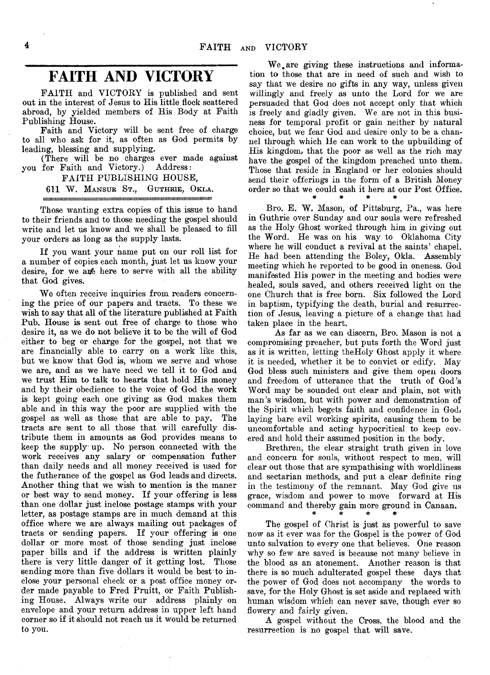### **FAITH AND VICTORY**

FAITH and VICTORY is published and sent out in the interest of Jesus to His little flock scattered abroad, by yielded members of His Body at Faith Publishing House.

Faith and Victory will be sent free of charge to all who ask for it, as often as God permits by leading, blessing and supplying.

(There will be no charges ever made against you for Faith and Victory.) Address:

#### FAITH PUBLISHING HOUSE,

#### 611 W. Mansur St., Guthrie, Okla.

iiiiiimmiimiiimimiiiiimimiiiiiimiiimimiiiimiiimiiimiimiiiiiiiiimiimmtimiimiiimiiiim

Those wanting extra copies of this issue to hand to their friends and to those needing the gospel should write and let us know and we shall be pleased to fill your orders as long as the supply lasts.

If you want your name put on our roll list for a number of copies each month, just let us know your desire, for we ane here to serve with all the ability that God gives.

We often receive inquiries from readers concerning the price of our papers and tracts. To these we wish to say that all of the literature published at Faith Pub. House is sent out free of charge to those who desire it, as we do not believe it to be the will of God either to beg or charge for the gospel, not that we are financially able to carry on a work like this, but we know that God is, whom we serve and whose we are, and as we have need we tell it to God and we trust Him to talk to hearts that hold His money and by their obedience to the voice of God the work is kept going each one giving as God makes them able and in this way the poor are supplied with the gospel as well as those that are able to pay. The gospel as well as those that are able to pay. tracts are sent to all those that will carefully distribute them in amounts as God provides means to keep the supply up. No person connected with the work receives any salary or compensation futher than daily needs and all money received is used for the futherance of the gospel as God leads and directs. Another thing that we wish to mention is the maner or best way to send money. If your offering is less than one dollar just inclose postage stamps with your letter, as postage stamps are in much demand at this office where we are always mailing out packages of tracts or sending papers. If your offering is one dollar or more most of those sending just inclose paper bills and if the address is Written plainly there is very little danger of it getting lost. Those sending more than five dollars it would be best to inclose your personal check or a post office money order made payable to Fred Pruitt, or Faith Publishing House. Always write our address plainly on envelope and your return address in upper left hand corner so if it should not reach us it would be returned to you.

We are giving these instructions and information to those that are in need of such and wish to say that we desire no gifts in any way, unless given willingly and freely as unto the Lord for we are persuaded that Goa does not accept only that which is freely and gladly given. We are not in this business for temporal profit or gain neither by natural choice, but we fear God and desire only to be a channel through which He can work to the upbuilding of His kingdom, that the poor as well as the rich may have the gospel of the kingdom preached unto them. Those that reside in England or her colonies should send their offerings in the form of a British Money order so that we could cash it here at our Post Office.

Bro. E. W. Mason, of Pittsburg, Pa., was here in Guthrie over Sunday and our souls were refreshed as the Holy Ghost worked through him in giving out the Word. He was on his way to Oklahoma City where he will conduct a revival at the saints' chapel. He had been attending the Boley, Okla. Assembly meeting which he reported to be good in oneness. God manifested His power in the meeting and bodies were healed, souls saved, and others received light on the one Church that is free born. Six followed the Lord in baptism, typifying the death, burial and resurrection of Jesus, leaving a picture of a change that had taken place in the heart.

w w #

As far as we can discern, Bro. Mason is not a compromising preacher, but puts forth the Word just as it is written, letting theHoly Ghost apply it where it is needed, whether it be to convict or edify. May God bless such ministers and give them open doors and freedom of utterance that the truth of God's Word may be sounded out clear and plain, not with man's wisdom, but with power and demonstration of the Spirit which begets faith and confidence in God, laying bare evil working spirits, causing them to be uncomfortable and acting hypocritical to keep covered and hold their assumed position in the body.

Brethren, the clear straight truth given in love and concern for souls, without respect to men, will clear out those that are sympathising with worldliness and sectarian methods, and put a clear definite ring in the testimony of the remnant. May God give us grace, wisdom and power to move forward at His command and thereby gain more ground in Canaan.

The gospel of Christ is just as powerful to save now as it ever was for the Gospel is the power of God unto salvation to every one that believes. One reason why so few are saved is because not many believe in the blood as an atonement. Another reason is that there is so much adulterated gospel these days that the power of God does not accompany the words to save, for the Holy Ghost is set aside and replaced with human wisdom which can never save, though ever so flowery and fairly given.

A gospel without the Cross, the blood and the resurrection is no gospel that will save.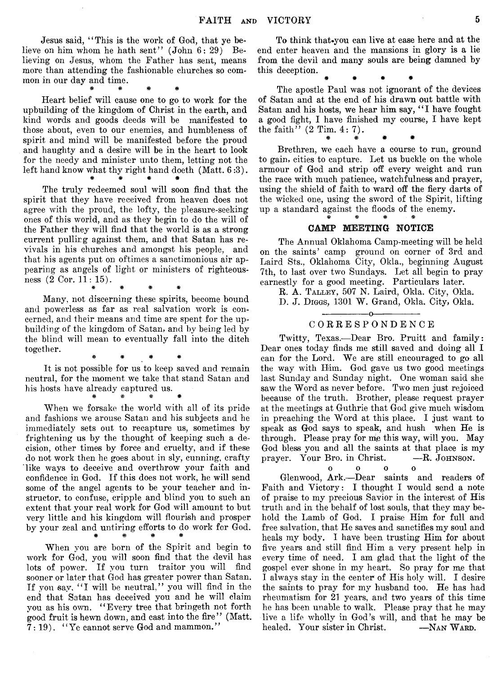Jesus said, " This is the work of God, that ye believe on him whom he hath sent"  $(John 6: 29)$  Believing on Jesus, whom the Father has sent, means more than attending the fashionable churches so common in our day and time.

# # \* \*

Heart belief will cause one to go to work for the upbuilding of the kingdom of Christ in the earth, and kind words and goods deeds will be manifested to those about, even to our enemies, and humbleness of spirit and mind will be manifested before the proud and haughty and a desire will be in the heart to look for the needy and minister unto them, letting not the left hand know what thy right hand doeth (Matt. 6 :3). \* # # #

The truly redeemed soul will soon find that the spirit that they have received from heaven does not agree with the proud, the lofty, the pleasure-seeking ones of this world, and as they begin to do the will of the Father they will find that the world is as a strong current pullirg against them, and that Satan has revivals in his churches and amongst his people, and that his agents put on oftimes a sanctimonious air appearing as angels of light or ministers of righteousness (2 Cor. 11: 15).

# # # #

Many, not discerning these spirits, become bound and powerless as far as real salvation work is concerned, and their means and time are spent for the upbuilding of the kingdom of Satan, and by being led by the blind will mean to eventually fall into the ditch together.

# # \* \*

It is not possible for us to keep saved and remain neutral, for the moment we take that stand Satan and his hosts have already captured us. *m* # *% \**

When we forsake the world with all of its pride and fashions we arouse Satan and his subjects and he immediately sets out to recapture us, sometimes by frightening us by the thought of keeping such a decision, other times by force and cruelty, and if these do not work then he goes about in sly, cunning, crafty like ways to deceive and overthrow your faith and confidence in God. If this does not work, he will send some of the angel agents to be your teacher and instructor, to confuse, cripple and blind you to such an extent that your real work for God will amount to but very little and his kingdom will flourish and prosper by your zeal and untiring efforts to do work for God. # # # #

When you are born of the Spirit and begin to work for God, you will soon find that the devil has lots of power. If you turn traitor you will find sooner or later that God has greater power than Satan. If you say, "I will be neutral," you will find in the end that Satan has deceived you and he will claim you as his own. " Every tree that bringeth not forth good fruit is hewn down, and cast into the fire" (Matt.  $7:19$ . "Ye cannot serve God and mammon."

To think that you can live at ease here and at the end enter heaven and the mansions in glory is a lie from the devil and many souls are being damned by this deception.

# \* « #

The apostle Paul was not ignorant of the devices of Satan and at the end of his drawn out battle with Satan and his hosts, we hear him say, "I have fought a good fight, I have finished my course, I have kept the faith''  $(2$  Tim.  $4:7$ ).

\* # \* \*

Brethren, we each have a course to run, ground to gain, cities to capture. Let us buckle on the whole armour of God and strip off every weight and run the race with much patience, watchfulness and prayer, using the shield of faith to ward off the fiery darts of the wicked one, using the sword of the Spirit, lifting up a standard against the floods of the enemy. \* *\** # \*

#### CAMP MEETING NOTICE

The Annual Oklahoma Camp-meeting will be held on the saints' camp ground on corner of 3rd and Laird Sts., Oklahoma City, Okla., beginning August 7th, to last over two Sundays. Let all begin to pray earnestly for a good meeting. Particulars later.

R. A. Talley, 507 N. Laird, Okla. City, Okla.

D. J. Diggs, 1301 W. Grand, Okla. City, Okla.

#### ------ ----------o----------------- C ORRESPONDENCE

Twitty, Texas.— Dear Bro. Pruitt and family: Dear ones today finds me still saved and doing all I can for the Lord. We are still encouraged to go all the way with Him. God gave us two good meetings last Sunday and Sunday night. One woman said she saw the Word as never before. Two men just rejoiced because of the truth. Brother, please request prayer at the meetings at Guthrie that God give much wisdom in preaching the Word at this place. I just want to speak as God says to speak, and hush when He is through. Please pray for me this way, will you. May God bless you and all the saints at that place is my prayer. Your Bro. in Christ.  $- R$ . JOHNSON. prayer. Your Bro. in Christ.

> oooo  $\Omega$

Glenwood, Ark.— Dear saints and readers of Faith and Victory: I thought I would send a note of praise to my precious Savior in the interest of His truth and in the behalf of lost souls, that they may behold the Lamb of God. I praise Him for full and free salvation, that He saves and sanctifies my soul and heals my body. I have been trusting Him for about five years and still find Him a very present help in every time of need. I am glad that the light of the gospel ever shone in my heart. So pray for me that I always stay in the center of His holy will. I desire the saints to pray for my husband too. He has had rheumatism for 21 years, and two years of this time he has been unable to walk. Please pray that he may live a life wholly in God's will, and that he may be healed. Your sister in Christ. —NAN WARD.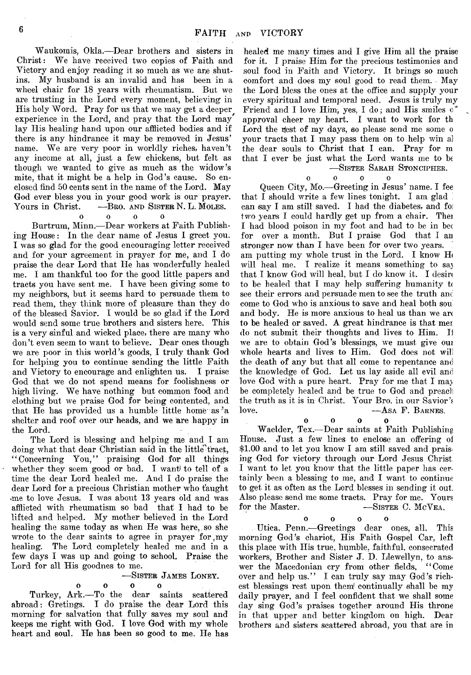Waukomis, Okla.— Dear brothers and sisters in Christ: We have received two copies of Faith and Victory and enjoy reading it so much as we are shutins. My husband is an invalid and has been in a wheel chair for 18 years with rheumatism. But we are trusting in the Lord every moment, believing in His holy Word. Pray for us that we may get a deeper experience in the Lord, and pray that the Lord may lay His healing hand upon our afflicted bodies and if there is any hindrance it may be removed in Jesus' name. We are very poor in worldly riches, haven't any income at all, just a few chickens, but felt as though we wanted to give as much as the widow's mite, that it might be a help in God's cause. So enclosed find 50 cents sent in the name of the Lord. May God ever bless you in your good work is our prayer.<br>Yours in Christ. —Bro. AND SISTER N. L. MOLES. -Bro. and Sister N. L. Moles.

#### oooo

Burtrum, Minn.— Dear workers at Faith Publishing House: In the dear name of Jesus I greet you. I was so glad for the good encouraging letter received and for your agreement in prayer for me, and I do praise the dear Lord that He has wonderfully healed me. I am thankful too for the good little papers and tracts you have sent me. I have been giving some to my neighbors, but it seems hard to persuade them to read them, they think more of pleasure than they do of the blessed Savior. I would be so glad if the Lord would send some true brothers and sisters here. This is a very sinful and wicked place, there are many who don't even seem to want to believe. Dear ones though we are poor in this world's goods, I truly thank God for helping you to continue sending the little Faith and Victory to encourage and enlighten us. I praise God that we do not spend means for foolishness or high living. We have nothing but common food and clothing but we praise God for being contented, and that He has provided us a humble little home as  $a^3$ a shelter and roof over our heads, and we are happy in the Lord.

The Lord is blessing and helping me and I am doing what that dear Christian said in the little<sup>2</sup>tract, " Concerning You," praising God for all things whether they seem good or bad. I want) to tell of a time the dear Lord healed me. And I do praise the dear Lord for a precious Christian mother who taught ome to love Jesus. I was about 13 years old and was afflicted with rheumatism so bad that I had to be lifted and helped. My mother believed in the Lord healing the same today as when He was here,, so she wrote to the dear saints to agree in prayer for my healing. The Lord completely healed me and in a few days I was up and going to school. Praise the Lord for all His goodnes to me.

## –SISTER JAMES LONEY.<br>
0 0 0 0

Turkey, Ark.— To the dear saints scattered abroad: Gretings. I do praise the dear Lord this morning for salvation that fully saves my soul and keeps me right with God. I love God with my whole heart and soul. He has been so good to me. He has

healed me many times and I give Him all the praise for it. I praise Him for the precious testimonies and soul food in Faith and Victory. It brings so much comfort and does my soul good to read them. . May the Lord bless the ones at the office and supply your every spiritual and temporal need. Jesus is truly my Friend and I love Him, yes, I do; and His smiles o" approval cheer my heart. I want to work for th Lord the fiest of my days, so please send me some o your tracts that I may pass them on to help win a] the dear souls to Christ that I can. Pray for m that I ever be just what the Lord wants me to be — Sister Sarah Stoncipher.

oooo

Queen City, Mo.— Greeting in Jesus' name. I fee that I should write a few lines tonight. I am glad can say I am still saved. I had the diabetes, and for two years I could hardly get up from a chair. Thei I had blood poison in my foot and had to be in bec for over a month. But I praise God that I an stronger now than I have been for over two years. am putting my whole trust in the Lord. I know  $H_0$ will heal me. I realize it means something to say that I know God will heal, but I do know it. I desin to be healed that I may help suffering humanity  $t\epsilon$ see their errors and persuade men to see the truth anc come to God who is anxious to save and heal both sou and body. He is more anxious to heal us than we ar< to be healed or saved. A great hindrance is that mer do not submit their thoughts and lives to Him. Ii we are to obtain God's blessings, *we* must give oui whole hearts and lives to Him. God does not will the death of any but that all come to repentance and the knowdedge of God. Let us lay aside all evil and love God with a pure heart. Pray for me that I may be completely healed and be true to God and preacli the truth as it is in Christ. Your Bro. in our Savior's love. — ASA F. BARNES.

oooo  $\mathbf o$ Waelder, Tex.— Dear saints at Faith Publishing House. Just a few lines to enclose an offering oi \$1.00 and to let you know I am still saved and praising God for victory through our Lord Jesus Christ, I want to let you know that the little paper has certainly been a blessing to me, and I want to continue to get it as often as the Lord blesses in sending it out. Also please send me some tracts. Pray for me. Yours  $-$ Sister C. McVea.

**oooo**

 $\Omega$ 

Utica, Penn.— Greetings dear ones, all. This morning God's chariot, His Faith Gospel Car, left this place with His true, humble, faithful, consecrated workers, Brother and Sister J. D. Llewellyn, to answer the Macedonian cry from other fields, "Come wer the Macedonian cry from other fields, over and help us." I can truly say may God's richest blessings rest upon them' continually shall be my daily prayer, and I feel confident that we shall some day sing God's praises together around His throne in that upper and better kingdom on high. Dear brothers and sisters scattered abroad, you that are in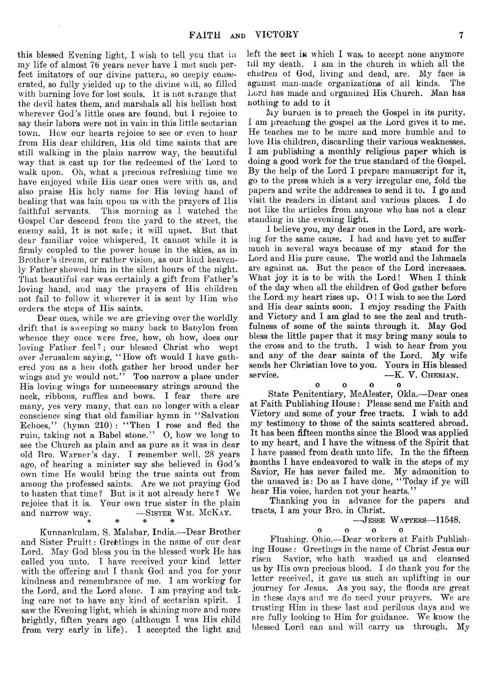this blessed Evening light, I wish to tell yon that in my life of almost 76 years never have I met such perfect imitators of our divine pattern, so deeply consecrated, so fully yielded up to the divine will, so filled with burning love for lost souls. It is not strange that the devil hates them, and marshals all his hellish host wherever God's little ones are found, but 1 rejoice to say their labors were not in vain in this little sectarian town. How our hearts rejoice to see or even to hear from His dear children, His old time saints that are still walking in the plain narrow way, the beautiful way that is cast up for the redeemed of the Lord to walk upon. Oh, what a precious refreshing time we have enjoyed while His dear ones were with us, and also praise His holy name for His loving hand of healing that was lain upon us with the prayers of Ilis faithful servants. This morning as I watched the Gospel Car descend from the yard to the street, the enemy said, It is not safe; it will upset. But that dear familiar voice whispered, It cannot while it is firmly coupled to the power house in the skies, as in Brother's dream, or rather vision, as our kind heavenly Father showed him in the silent hours of the night. That beautiful car was certainly a gift from Father's loving hand, and may the prayers of His children not fail to follow it wherever it is sent by Him who orders the steps of His saints.

Dear ones, while we are grieving over the worldly drift that is sweeping so many back to Babylon from whence they once were free, how, oh how, does our loving Father feel? ; our blessed Christ who wept over Jerusalem saying, " How oft would I have gathered you as a hen doth gather her brood under her wings and ye would not." Too narrow a place under His loving wings for unnecessary strings around the neck, ribbons, ruffles and bows. I fear there are many, yes very many, that can no longer with a clear conscience sing that old familiar hymn in " Salvation Echoes," (hymn 210): "Then I rose and fled the ruin, taking not a Babel stone." 0, how we long to see the Church as plain and as pure as it was in dear old Bro. Warner's day. I remember well, 28 years ago, of hearing a minister say she believed in God's own time He would bring the true saints out from among the professed saints. Are we not praying God to hasten that time? But is it not already here? We rejoice that it is. Your own true sister in the plain and narrow way. -SISTER WM. MCKAY. a .y . Aj.

Kunnankulam, S. Malabar, India.— Dear Brother and Sister Pruitt: Greetings in the name of our dear Lord. May God bless you in the blessed work He has called you unto. I have received your kind letter with the offering and I thank God and you for your kindness and remembrance of me. I am working for the Lord, and the Lord alone. I am praying and taking care not to have any kind of sectarian spirit. I saw the Evening light, which is shining more and more brightly, fiften years ago (althougn I was His child from very early in life). I accepted the light and

w w W

left the sect in which I was, to accept none anymore till my death. I am in the church in which all the chidren of God, living and dead, are. My face is against man-made organizations of ail kinds. The Lord has made and organized His Church. Man has nothing to add to it

My burden is to preach the Gospel in its purity. I am preaching the gospel as the Lord gives it to me. He teaches me to be mpre and more humble and to love His children, discarding their various weaknesses. I am publishing a monthly religious paper which is doing a good work for the true standard of the Gospel. By the help of the Lord I prepare manuscript for it, go to the press which is a very irregular one, fold the papers and write the addresses to send it to. I go and visit the readers in distant and various places. I do not like the articles from anyone who has not a clear standing in the evening light.

I believe you, my dear ones in the Lord, are working for the same cause. I had and have yet to suffer much in several ways because of my stand for the Lord and His pure cause. The world and the Ishmaels are against us. But the peace of the Lord increases. What joy it is to be with the Lord! When I think of the day when all the children of God gather before the Lord my heart rises up. O! I wish to see the Lord and His dear saints soon. I enjoy reading the Faith and Victory and I am glad to see the zeal and truthfulness of some of the saints through it. May God bless the little paper that it may bring many souls to the cross and to the truth. I wish to hear from you and any of the dear saints of the Lord. My wife sends her Christian love to you. Yours in His blessed service. — K. V. CHERIAN.

oooo State Penitentiary, McAlester, Okla.— Dear ones at Faith Publishing House: Please send me Faith and Victory and some of your free tracts. I wish to add my testimony to those of the saints scattered abroad. It has been fifteen months since the Blood was applied to my heart, and I have the witness of the Spirit that I have passed from death unto life. In the the fifteen (months I have endeavored to walk in the steps of my Savior, He has never failed me. My admonition to the unsaved is: Do as I have done, "Today if ye will hear His voice, harden not your hearts."

Thanking you in advance for the papers and tracts, I am your Bro. in Christ.

> $-$ Jesse Watters—11548.  $\Omega$

 $0$  0 0 Flushing, Ohio.— Dear workers at Faith Publishing House : Greetings in the name of Christ Jesus our risen Savior, who hath washed us and cleansed us by His own precious blood. I do thank you for the letter received, it gave us such an uplifting in our journey for Jesus. As you say, the floods are great in these days and we do need your prayers. We are trusting Him in these last and perilous days and we are fully looking to Him for guidance. We know the blessed Lord can and will carry us through. My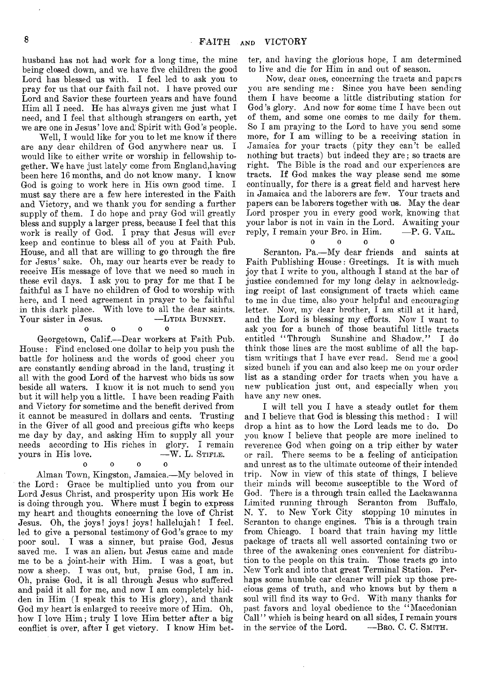husband has not had work for a long time, the mine being closed down, and we have five children the good Lord has blessed us with. I feel led to ask you to pray for us that our faith fail not. I have proved our Lord and Savior these fourteen years and have found Him all I need. He has always given me just what I need, and I feel that although strangers on earth, yet we are one in Jesus' love and' Spirit with God's people.

Well, I would like for you to let me know if there are any dear children of God anywhere near us. I would like to either write or worship in fellowship together. We have just lately come from England,having been here 16 months, and do not know many. I know God is going to work here in His own good time. I must say there are a few here interested in the Faith and Victory, and we thank you for sending a further supply of them. I do hope and pray God will greatly bless and supply a larger press, because I feel that this work is really of God. I pray that Jesus will ever keep and continue to bless all of you at Faith Pub. House, and all that are willing to go through the fire for Jesus' sake. Oh, may our hearts ever be ready to receive His message of love that we need so much in these evil days.  $\bar{I}$  ask you to pray for me that I be faithful as I have no children of God to worship with here, and I need agreement in prayer to be faithful in this dark place. With love to all the dear saints. Your sister in Jesus. — LYDIA BUNNEY.

oooo Georgetown, Calif.— Dear workers at Faith Pub. House : Find enclosed one dollar to help you push the battle for holiness and the words of good cheer you are constantly sending abroad in the land, trusting it all with the good Lord of the harvest who bids us sow beside all waters. I know it is not much to send you but it will help you a little. I have been reading Faith and Victory for sometime and the benefit derived from it cannot be measured in dollars and cents. Trusting in the Giver of all good and precious gifts who keeps me day by day, and asking Him to supply all your needs according to His riches in glory. I remain yours in His love. - W. L. STIFLE.

Ω

#### oooo

Alman Town, Kingston, Jamaica.— My beloved in the Lord: Grace be multiplied unto you from our Lord Jesus Christ, and prosperity upon His work He is doing through you. Where must I begin to express my heart and thoughts concerning the love of Christ Jesus. Oh, the joys! joys! joys! hallelujah! I feel, led to give a personal testimony of God's grace to my poor soul. I was a sinner, but praise God, Jesus saved me. I was an alien, but Jesus came and made me to be a joint-heir with Him. I was a goat, but now a sheep. I was out, but, praise God, I am in. Oh, praise God, it is all through Jesus who suffered and paid it all for me, and now I am completely hidden in Him (I speak this to His glory), and thank God my heart is enlarged to receive more of Him. Oh, how I love Him; truly I love Him better after a big conflict is over, after I get victory. I know Him better, and having the glorious hope, I am determined to live and die for Him in and out of season.

Now, dear ones, concerning the tracts and papers you are sending me: Since you have been sending them I have become a little distributing station for God's glory. And now for some time I have been out of them, and some one comps to me daily for them. So I am praying to the Lord to have you send some more, for I am willing to be a receiving station in Jamaica for your tracts (pity they can't be called nothing but tracts) but indeed they are; so tracts are right. The Bible is the road and our experiences are tracts. If God makes the way please send me some continually, for there is a great field and harvest here in Jamaica and the laborers are few. Your tracts and papers can be laborers together with us. May the dear Lord prosper you in every good work, knowing that your labor is not in vain in the Lord. Awaiting your<br>reply. I remain your Bro. in Him.  $-P. G. V_{\text{ALL}}$ reply, I remain your Bro. in Him.

#### $\Omega$ oooo

Scranton, Pa.— My dear friends and saints at Faith Publishing House: Greetings. It is with much joy that I write to you, although  $\overline{I}$  stand at the bar of justice condemned for my long delay in acknowledging rceipt of last consignment of tracts which came to me in due time, also your helpful and encouraging letter. Now, my dear brother, I am still at it hard, and the Lord is blessing my efforts. Now I want to ask you for a bunch of those beautiful little tracts entitled "Through Sunshine and Shadow." I do think those lines are the most sublime of all the baptism writings that I have ever read. Send me a good sized bunch if you can and also keep me on your order list as a standing order for tracts when you have a new publication just out, and especially when you have any new ones.

I will tell you I have a steady outlet for them and I believe that God is blessing this method: I will drop a hint as to how- the Lord leads me to do. Do you know I believe that people are more inclined to reverence God when going on a trip either by water or rail. There seems to be a feeling of anticipation and unrest as to the ultimate outcome of their intended trip. Now in view of this state of things, I believe their minds will become susceptible to the Word of God. There is a through train called the Lackawanna Limited running through Scranton from Buffalo, N. Y. to New York City stopping 10 minutes in Scranton to change engines. This is a through train from Chicago. I board that train having my little package of tracts all well assorted containing two or three of the awakening ones convenient for distribution to the people on this train. Those tracts go into New York and into that great Terminal Station. Perhaps some humble car cleaner will pick up those precious gems of truth, and who knows but by them a soul will find its way to God. With many thanks for past favors and loyal obedience to the " Macedonian Call" which is being heard on all sides, I remain yours in the service of the Lord. —Bro. C. C. SMITH.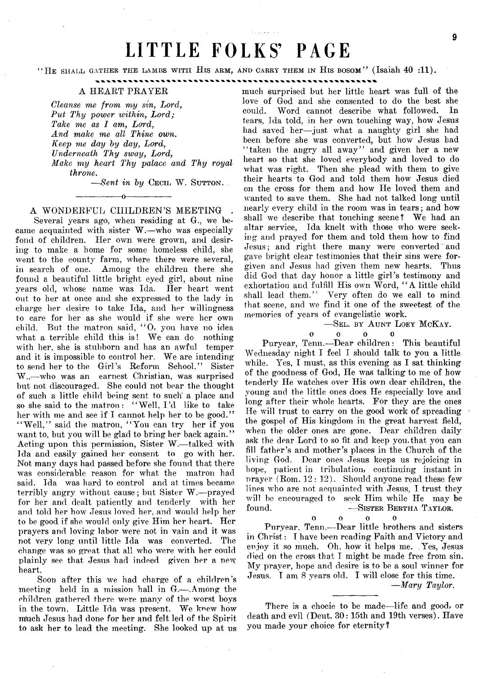## LITTLE FOLKS' PAGE

"HE SHALL GATHER THE LAMBS WITH HIS ARM, AND CARRY THEM IN HIS BOSOM" (Isaiah  $40$  :11).

#### A HEART PRAYER

*Cleanse me from my sin, Lord, Put Thy power within, Lord; Take me as 1 am, Lord*, *And make me all Thine own. Keep me day by day, Lord, Underneath Thy sway, Lord, Make my heart Thy palace and Thy royal throne.*

 $-$ *Sent in by* Cecil W. Sutton.

#### -----------------o----------------- A WONDERFUL CIIILDREN'S MEETING

Several years ago, when residing at G., we became acquainted with sister W.—who was especially fond of children. Her own were grown, and desiring to make a home for some homeless child, she went to the county farm, where there were several, in search of one. Among the children there she found a beautiful little bright eyed girl, about nine years old, whose name was Ida. Her heart went out to her at once and she expressed to the lady in charge her desire to take Ida, and her willingness to care for her as she would if she were her own child. But the matron said, " 0, you have no idea what a terrible child this is! We can do nothing with her, she is stubborn and has an awful temper and it is impossible to control her. We are intending to send her to the Girl's Reform School." Sister W..— who was an earnest Christian, was surprised but not discouraged. She could not bear the thought of such a little child being sent to such' a place and so she said to the matron: "Well, I'd like to take her with me and see if I cannot help her to be good." "Well," said the matron, "You can try her if you want to, but you will be glad to bring her back again." Acting upon this permission, Sister W.— talked with Ida and easily gained her consent to go with her. Not many days had passed before she found that there was considerable reason for what the matron had said. Ida was hard to control and at times became terribly angry without cause; but Sister W.— prayed for her and dealt patiently and tenderly with her and told her how Jesus loved her, and would help her to be good if she would only give Him her heart. Her prayers and loving labor were not in vain and it was not very long until little Ida was converted. The change was so great that all who were with her could plainly see that Jesus had indeed given her a new heart.

Soon after this we had charge of a children's meeting held in a mission hall in G.— .Among the children gathered there were many of the worst boys in the town. Little Ida was present. We knew how much Jesus had done for her and felt led of the Spirit to ask her to lead the meeting. She looked up at us

much surprised but her little heart was full of the love of God and she consented to do the best she could. Word cannot describe what followed. In tears, Ida told, in her own touching way, how Jesus had saved her— just what a naughty girl she had been before she was converted, but how Jesus had "taken the angry all away" and given her a new heart so that she loved everybody and loved to do what was right. Then she plead with them to give their hearts to God and told them how Jesus died on the cross for them and how He loved them and wanted to save them. She had not talked long until nearly every child in the room was in tears; and how shall we describe that touching scene ? We had an altar service, Ida knelt with those who were seeking and prayed for them and told them how to find Jesus; and right there many were converted and gave bright clear testimonies that their sins were forgiven and Jesus had given them new hearts. Thus did God that day honor a little girl's testimony and exhortation and fulfill His own Word, "A little child shall lead them." Very often do we call to mind that scene, and we find it one of the sweetest of the memories of years of evangelistic work.

> -SEL. BY AUNT LOEY MCKAY. oooo  $\mathbf{o}$

Puryear, Tenn.— Dear children: This beautiful Wednesday night I feel I should talk to you a little while. Yes, I must, as this evening as I sat thinking of the goodness of God, He was talking to me of how tenderly He watches over His own dear children, the young and the little ones does He especially love and long after their whole hearts. For they are the ones He will trust to carry on the good work of spreading the gospel of His kingdom in the great harvest field, when the older ones are gone. Dear children daily ask the dear Lord to so fit and keep you. that you can fill father's and mother's places in the Church of the living God. Dear ones Jesus keeps us rejoicing in hope, patient in tribulation, continuing instant in  $prayer$  (Rom.  $12:12$ ). Should anyone read these few lines who are not acquainted with Jesus, I trust they will be encouraged to seek Him while He may be found. SISTER BERTHA TAYLOR. -SISTER BERTHA TAYLOR.

 $0$  0 0 Puryear, Tenn.— Dear little brothers and sisters in Christ: I have been reading Faith and Victory and enjoy it so much. Oh, how it helps me. .Yes, Jesus died on the cross that I might be made free from sin. My prayer, hope and desire is to be a soul winner for Jesus. I am 8 years old. I will close for this time. *— Mary Taylor.*

There is a chocie to be made—life and good, or death and evil (Deut.  $30:15$ th and 19th verses). Have you made your choice for eternity?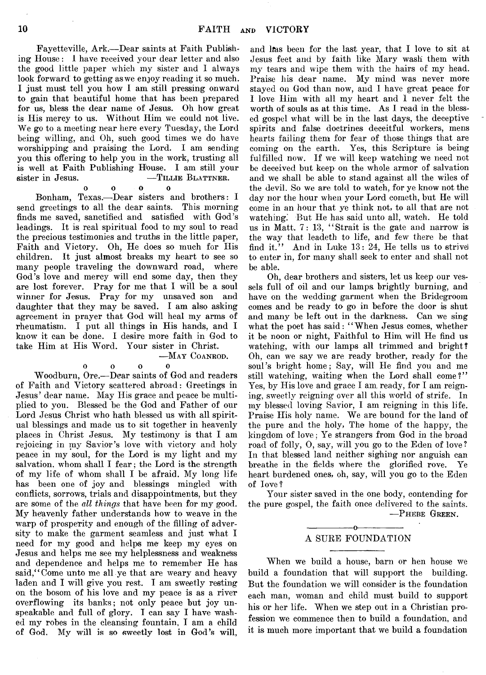Fayetteville, Ark.— Dear saints at Faith Publishing House: I have received your dear letter and also the good little paper which my sister and I always look forward to getting as we enjoy reading it so much. I just must tell you how I am still pressing onward to gain that beautiful home that has been prepared for us, bless the dear name of Jesus. Oh how great is His mercy to us. Without Him we could not live. We go to a meeting near here every Tuesday, the Lord being willing, and Oh, such good times we do have worshipping and praising the Lord. I am sending you this offering to help you in the work, trusting all is well at Faith Publishing House. I am still your sister in Jesus. — TILLIE BLATTNER.

o o o o Bonham, Texas.— Dear sisters and brothers: I send greetings to all the dear saints. This morning finds me saved, sanctified and satisfied with God's leadings. It is real spiritual food to my soul to read the precious testimonies and truths in the little paper, Faith and Victory. Oh, He does so much for His children. It just almost breaks my heart to see so many people traveling the downward road, where God's love and mercy will end some day, then they are lost forever. Pray for me that I will be a soul winner for Jesus. Pray for my unsaved son and daughter that they may be saved. I am also asking agreement in prayer that God will heal my arms of rheumatism. I put all things in His hands, and I know it can be done. I desire more faith in God to take Him at His Word. Your sister in Christ.

#### —May Coanrod.

 $\bf{0}$ oooo

Woodburn, Ore.— Dear saints of God and readers of Faith and Victory scattered abroad: Greetings in Jesus' dear name. May His grace and peace be multiplied to you. Blessed be the God and Father of our Lord Jesus Christ who hath blessed us with all spiritual blessings and made us to sit together in heavenly places in Christ Jesus. My testimony is that I am rejoicing in my Savior's love with victory and holy peace in my soul, for the Lord is my light and my salvation, whom shall I fear; the Lord is the strength of my life of whom shall I be afraid. My long life has been one of joy and blessings mingled with conflicts, sorrows, trials and disappointments, but they are some of the *all things* that have been for my good. My heavenly father understands how to weave in the warp of prosperity and enough of the filling of adversity to make the garment seamless and just what I need for my good and helps me keep my eyes on Jesus and helps me see my helplessness and weakne'ss and dependence and helps me to remember He has said," Come unto me all ye that are weary and heavy laden and I will give you rest. I am sweetly resting on the bosom of his love and my peace is as a river overflowing its banks; not only peace but joy unspeakable and full of glory. I can say I have washed my robes in the cleansing fountain, I am a child of God. My will is so sweetly lost in God's will,

and lfias been for the last year, that I love to sit at Jesus feet and by faith like Mary wash them with my tears and wipe them with the hairs of my head. Praise his dear name. My mind was never more stayed on God than now, and I have great peace for I love Him with all my heart and I never felt the worth of souls as at this time. As I read in the blessed gospel what will be in the last days, the deceptive spirits and false doctrines deceitful workers, mens hearts failing them for fear of those things that are coming on the earth. Yes, this Scripture is being fulfilled now. If we will keep watching we need not be deceived but keep on the whole armor of salvation and we shall be able to stand against all the wiles of the devil. So we are told to watch, for ye know not the day nor the hour when your Lord cometh, but He will come in an hour that ye think not, to all that are not watching.' But He has said unto all, watch. He told us in Matt.  $7: 13$ , "Strait is the gate and narrow is the way that leadeth to life, and few there be that find it." And in Luke  $13:24$ , He tells us to strive to enter in, for many shall seek to enter and shall not be able.

Oh, dear brothers and sisters, let us keep our vessels full of oil and our lamps brightly burning, and have on the wedding garment when the Bridegroom comes and be ready to go in before the door is shut and many be left out in the darkness. Can we sing what the poet has said: "When Jesus comes, whether it be noon or night, Faithful to Him, will He find us watching, with our lamps all trimmed and bright? Oh, can we say we are ready brother, ready for the soul's bright home; Say, will He find you and me still watching, waiting when the Lord shall come?" Yes, by His love and grace I am, ready, for I am reigning, sweetly reigning over all this world of strife. In my blessed loving Savior, I am reigning in this life. Praise His holy name. We are bound for the land of the pure and the holy, The home of the happy, the kingdom of love; Ye strangers from God in the broad road of folly, 0, say, will you go to the Eden of love? In that blessed land neither sighing nor anguish can breathe in the fields where the glorified rove. Ye heart burdened ones, oh, say, will you go to the Eden of love?

Your sister saved in the one body, contending for the pure gospel, the faith once delivered to the saints. —Phebe Green.

#### —------------- o— ------------- A SURE FOUNDATION

When we build a house, barn or hen house we build a foundation that will support the building. But the foundation we will consider is the foundation each man, woman and child must build to support his or her life. When we step out in a Christian profession we commence then to build a foundation, and it is much more important that we build a foundation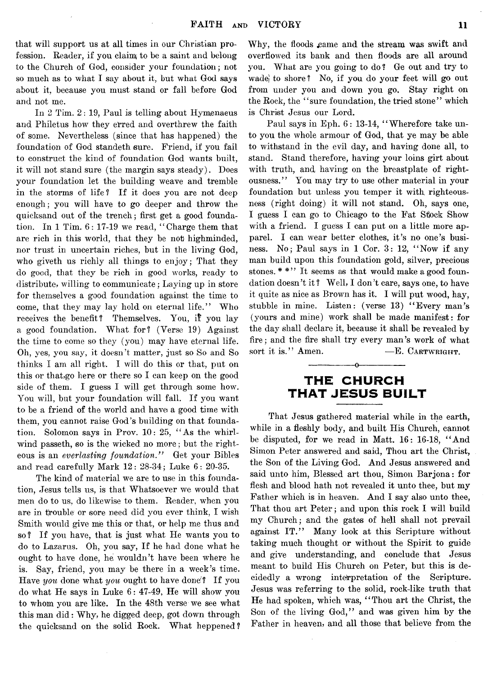that will support us at all times in our Christian profession. Reader, if you claim; to be a saint and belong to the Church of God, consider your foundation; not so much as to what I say about it, but what God says about it, because you must stand or fall before God and not me.

In  $2$  Tim.  $2:19$ , Paul is telling about Hymenaeus and Philetus how they erred and overthrew the faith of some. Nevertheless (since that has happened) the foundation of God standeth sure. Friend, if you fail to construct the kind of foundation God wants built, it will not stand sure (the margin says steady). Does your foundation let the building weave and tremble in the storms of life? If it does you are not deep enough; you will have to go deeper and throw the quicksand out of the trench; first get a good foundation. In 1 Tim. 6 : 17-19 we read, " Charge them that are rich in this world, that they be not highminded, nor trust in uncertain riches, but in the living God, who giveth us richly all things to enjoy; That they do good, that they be rich in good works, ready to distribute, willing to communicate ; Laying up in store for themselves a good foundation against the time to come, that they may lay hold on eternal life." Who receives the benefit? Themselves. You, if you lay a good foundation. What for? (Verse 19) Against the time to come so they (you) may have eternal life. Oh, yes, you say, it doesn't matter, just so So and So thinks I am all right. I will do this or that, put on this or that,go here or there so I can keep on the good side of them. I guess I will get through some how. You will, but your foundation will fall. If you want to be a friend of the world and have a good time with them, you cannot raise God's building on that foundation. Solomon says in Prov. 10: 25, " As the whirlwind passeth, so is the wicked no more; but the righteous is an *everlasting foundation."* Get your Bibles and read carefully Mark 12: 28-34; Luke 6 : 20-35.

The kind of material we are to use in this foundation, Jesus tells us, is that Whatsoever we would that men do to us, do likewise to them. Reader, when you are in trouble or sore need did you ever think, I wish Smith would give me this or that, or help me thus and so? If you have, that is just what He wants you to do to Lazarus. Oh, you say, If he had done what he ought to have done, he wouldn't have been where he is. Say, friend, you may be there in a week's time. Have *you* done what *you* ought to have done'? If you do what He says in Luke  $6: 47-49$ , He will show you to whom you are like. In the 48th verse we see what this man did: Why, he digged deep, got down through the quicksand on the solid Rock. What heppened?

Why, the floods came and the stream was swift and overflowed its bank and then floods are all around you. What are you going to do? Ge out and try to wade| to shore ? No, if you do your feet will go out from under you and down you go. Stay right on the Rock, the "sure foundation, the tried stone" which is Christ Jesus our Lord.

Paul says in Eph. 6: 13-14, "Wherefore take unto you the whole armour of God, that ye may be able to withstand in the evil day, and having done all, to stand. Stand therefore, having your loins girt about with truth, and having on the breastplate of rightousness." You may try to use other material in your foundation but unless you temper it with righteousness (right doing) it will not stand. Oh, says one, I guess I can go to Chicago to the Fat Stock Show with a friend. I guess I can put on a little more apparel. I can wear better clothes, it's no one's business. No; Paul says in 1 Cor. 3: 12, " Now if any man build upon this foundation gold, silver, precious stones. \*\*'' It seems as that would make a good foundation doesn't it? Well, I don't care, says one, to have it quite as nice as Brown has it. I will put wood, hay, stubble in mine. Listen: (verse 13) "Every man's (yours and mine) work shall be made manifest: for the day shall declare it, because it shall be revealed by fire; and the fire shall try every man's work of what sort it is." Amen.  $-E$ . CARTWRIGHT.

#### **THE CHURCH THAT JESUS BUILT**

---------------- o-----------------

That Jesus gathered material while in the earth, while in a fleshly body, and built His Church, cannot be disputed, for we read in Matt. 16: 16-18, " And Simon Peter answered and said, Thou art the Christ, the Son of the Living God. And Jesus answered and said unto him, Blessed art thou, Simon Barjona: for flesh and blood hath not revealed it unto thee, but my Father which is in heaven. And I say also unto thee, That thou art Peter; and upon this rock I will build my Church; and the gates of hell shall not prevail against IT." Many look at this Scripture without taking much thought or without the Spirit to guide and give understanding, and conclude that Jesus meant to build His Church on Peter, but this is decidedly a wrong interpretation of the Scripture. Jesus was referring to the solid, rock-like truth that He had spoken, which was, "Thou art the Christ, the Son of the living God," and was given him by the Father in heaven, and all those that believe from the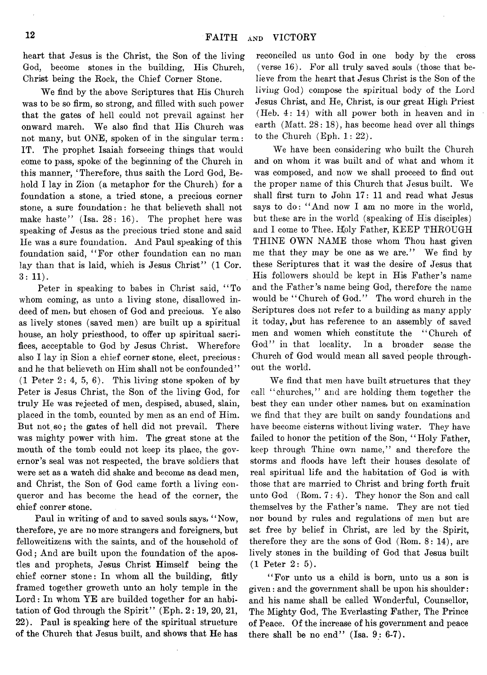heart that Jesus is the Christ, the Son of the living God, become stones in the building, His Church, Christ being the Rock, the Chief Corner Stone.

We find by the above Scriptures that His Church was to be so firm, so strong, and filled with such power that the gates of hell could not prevail against her onward march. We also find that His Church was not many, but ONE, spoken of in the singular term: IT. The prophet Isaiah forseeing things that would come to pass, spoke) of the beginning of the Church in this manner, 'Therefore, thus saith the Lord God, Behold I lay in Zion (a metaphor for the Church) for a foundation a stone, a tried stone, a precious corner stone, a sure foundation: he that believeth shall not make haste" (Isa.  $28: 16$ ). The prophet here was speaking of Jesus as the precious tried stone and said He was a sure foundation. And Paul speaking of this foundation said, " For other foundation can no man lay than that is laid, which is Jesus Christ<sup>\*\*</sup>  $(1 \text{ Cor.})$  $3: 11$ .

Peter in speaking to babes in Christ said, " To whom coming, as unto a living stone, disallowed indeed of men, but chosen of God and precious. Ye also as lively stones (saved men) are built up a spiritual house, an holy priesthood, to offer up spiritual sacrifices, acceptable to God by Jesus Christ. Wherefore also I lay in Sion a chief corner stone, elect, precious: and he that believeth on Him shall not be confounded"  $(1$  Peter  $2: 4, 5, 6$ . This living stone spoken of by Peter is Jesus Christ, the Son of the living God, for truly He was rejected of men, despised, abused, slain, placed in the tomb, counted by men as an end of Him. But not so; the gates of hell did not prevail. There was mighty power with him. The great stone at the mouth of the tomb could not keep its place, the governor's seal was not respected, the brave soldiers that were set as a watch did shake and become as dead men, and Christ, the Son of God came forth a living conqueror and has become the head of the corner, the chief conrer stone.

Paul in writing of and to saved souls says, " Now, therefore, ye are no more strangers and foreigners, but fellowcitizens with the saints, and of the household of God; And are built upon the foundation of the apostles and prophets, Jesus Christ Himself being the chief corner stone: In whom all the building, fitly framed together groweth unto an holy temple in the Lord: In whom YE are builded together for an habitation of God through the Spirit" (Eph. 2:19, 20, 21, 22). Paul is speaking here of the spiritual structure of the Church that Jesus built, and shows that He has

reconciled us unto God in one body by the cross (verse 16). For all truly saved souls (those that believe from the heart that Jesus Christ is the Son of the living God) compose the spiritual body of the Lord Jesus Christ, and He, Christ, is our great High Priest (Heb. 4: 14) with all power both in heaven and in earth (Matt. 28: 18), has become head over all things to the Church (Eph. 1: 22).

We have been considering who built the Church and on whom it was built and of what and whom it was composed, and now we shall proceed to find out the proper name of this Church that Jesus built. We shall first turn to John 17: 11 and read what Jesus says to do: "And now I am no more in the world, but these are in the world (speaking of His disciples) and I come to Thee. Holy Father, KEEP THROUGH THINE OWN NAME those whom Thou hast given me that they may be one as we are." We find by these Scriptures that it was the desire of Jesus that His followers should be kept in His Father's name and the Father's name being God, therefore the name would be "Church of God." The word church in the Scriptures does not refer to a building as many apply it today, ,but has reference to an assembly of saved men and women which constitute the " Church of God" in that locality. In a broader sense the Church of God would mean all saved people throughout the world.

We find that men have built structures that they call " churches," and are holding them together the best they can under other names, but on examination we find that they are built on sandy foundations and have become cisterns without living water. They have failed to honor the petition of the Son, "Holy Father, keep through Thine own name," and therefore the storms and floods have left their houses desolate of real spiritual life and the habitation of God is with those that are married to Christ and bring forth fruit unto God (Rom. 7:4). They honor the Son and call themselves by the Father's name. They are not tied nor bound by rules and regulations of men but are set free by belief in Christ, are led by the Spirit, therefore they are the sons of God  $(Rom. 8: 14)$ , are lively stones in the building of God that Jesus built  $(1$  Peter  $2:5)$ .

" For unto us a child is born, unto us a son is given: and the government shall be upon his shoulder: and his name shall be called Wonderful, Counsellor, The Mighty God, The Everlasting Father, The Prince of Peace. Of the increase of his government and peace there shall be no end" (Isa.  $9:6-7$ ).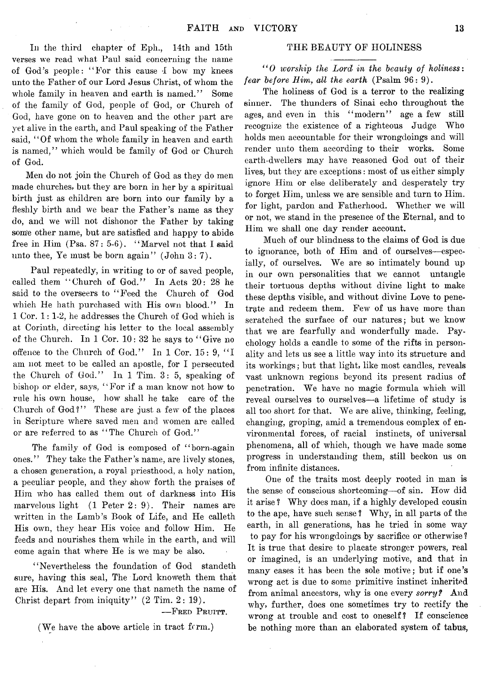In the third chapter of Eph., 14th and 15th verses we read what Paul said concerning the name of God's people: "For this cause 4 bow my knees unto the Father of our Lord Jesus Christ, of whom the whole family in heaven and earth is named." Some of the family of God, people of God, or Church of God, have gone on to heaven and the other part are yet alive in the earth, and Paul speaking of the Father said, "Of whom the whole family in heaven and earth is named," which would be family of God or Church of God.

Men do not join the Church of God as they do men made churches, but they are born in her by a spiritual birth just as children are born into our family by a fleshly birth and we bear the Father's name as they do, and we will not dishonor the Father by taking som'e other name, but are satisfied and happy to abide free in Him  $(Psa. 87: 5-6)$ . "Marvel not that I said unto thee, Ye must be born again" (John 3:7).

Paul repeatedly, in writing to or of saved people, called them "Church of God." In Acts 20: 28 he said to the overseers to "Feed the Church of God which He hath purchased with His own blood." In 1 Cor. 1 : 1-2, he addresses the Church of God which is at Corinth, directing his letter to the local assembly of the Church. In 1 Cor. 10: 32 he says to "Give no offence to the Church of God." In 1 Cor. 15: 9, " I am not meet to be called an apostle, for I persecuted the Church of God." In  $1$  Tim.  $3:5$ , speaking of bishop or elder, says, "For if a man know not how to rule his own house, how shall he take care of the Church of God?'' These are just a few of the places in Scripture where saved men and women are called or are referred to as "The Church of God."

The family of God is composed of "born-again ones." They take the Father's name, are lively stones, a chosen generation, a royal priesthood, a holy nation, a peculiar people, and they show forth the praises of Him who has called them out of darkness into His marvelous light (1 Peter 2: 9). Their names are written in the Lamb's Book of Life, and He calleth His own, they hear His voice and follow Him. He feeds and nourishes them while in the earth, and will come again that where He is we may be also.

"Nevertheless the foundation of God standeth sure, having this seal, The Lord knoweth them that are His. And let every one that nameth the name of Christ depart from iniquity" (2 Tim. 2: 19).

-FRED PRUITT.

(We have the above article in tract  $f(rm)$ )

#### THE BEAUTY OF HOLINESS

" 0 *worship the Lord in the beauty of holiness*: *fear before Him*, *all the earth* (Psalm 96: 9).

The holiness of God is a terror to the realizing sinner. The thunders of Sinai echo throughout the ages, and even in this "modern" age a few still recognize the existence of a righteous Judge Who holds men accountable for their wrongdoings and will render unto them according to their works. Some earth-dwellers may have reasoned God out of their lives, but they are exceptions: most of us either simply ignore Him or else deliberately and desperately try to forget Him, unless we are sensible and turn to Him. for light, pardon and Fatherhood. Whether we will or not, we stand in the presence of the Eternal, and to Him we shall one day render account.

Much of our blindness to the claims of God is due to ignorance, both of Him and of ourselves— especially, of ourselves. We are so intimately bound up in our own personalities that we cannot untangle their tortuous depths without divine light to make these depths visible, and without divine Love to penetrate and redeem them. Few of us have more than scratched the surface of our natures; but we know that we are fearfully and wonderfully made. Psychology holds a candle to some of the rifts in personality and lets us see a little way into its structure and its workings; but that light, like most candles, reveals vast unknown regions beyond its present radius of penetration. We have no magic formula which will reveal ourselves to ourselves—a lifetime of study is all too short for that. We are alive, thinking, feeling, changing, groping, amid a tremendous complex of environmental forces, of racial instincts, of universal phenomena, all of which, though we have made some progress in understanding them, still beckon us on from infinite distances.

One of the traits most deeply rooted in man is the sense of conscious shortcoming—of sin. How did it arise ? Why does man, if a highly developed cousin to the ape, have such sense ? Why, in all parts of the earth, in all generations, has he tried in some way to pay for his wrongdoings by sacrifice or otherwise! It is true that desire to placate stronger powers, real or imagined, is an underlying motive, and that in many cases it has been the sole motive; but if one's wrong act is due to some primitive instinct inherited from animal ancestors, why is one every *sorry?* And why, further, does one sometimes try to rectify the wrong at trouble and cost to oneself? If conscience be nothing more than an elaborated system of tabus,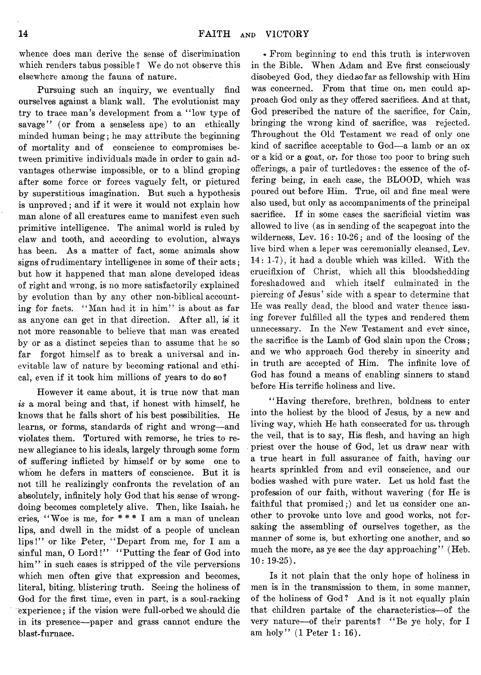whence does man derive the sense of discrimination which renders tabus possible ? We do not observe this elsewhere among the fauna of nature.

Pursuing such an inquiry, we eventually find ourselves against a blank wall. The evolutionist may try to trace man's development from a " low type of savage" (or from a senseless ape) to an ethically minded human being; he may attribute the beginning of mortality and of conscience to compromises between primitive individuals made in order to gain advantages otherwise impossible, or to a blind groping after some force or forces vaguely felt, or pictured by superstitious imagination. But such a hypothesis is unproved; and if it were it would not explain how man alone of all creatures came to manifest even such primitive intelligence. The animal world is ruled by claw and tooth, and according to evolution, always has been. As a matter of fact, some animals show signs of rudimentary intelligence in some of their acts; but how it happened that man alone developed ideas of right and wrong, is no more satisfactorily explained by evolution than by any other non-biblical accounting for facts. " Man had it in him" is about as far as anyone can get in that direction. After all, is it not more reasonable to believe that man was created by or as a distinct sepcies than to assume that he so far forgot himself as to break a universal and inevitable law of nature by becoming rational and ethical, even if it took him millions of years to do so ?

However it came about, it is true now that man *is* a moral being and that, if honest with himself, he knows that he falls short of his best possibilities. He learns, or forms, standards of right and wrong—and violates them. Tortured with remorse, he tries to renew allegiance to his ideals, largely through some form of suffering inflicted by himself or by some one to whom he defers in matters of conscience. But it is not till he realizingly confronts the revelation of an absolutely, infinitely holy God that his sense of wrongdoing becomes completely alive. Then, like Isaiah, he cries, " Woe is me, for # # # I am a man of unclean lips, and dwell in the midst of a people of unclean lips!" or like Peter, "Depart from me, for I am a sinful man, O Lord!" "Putting the fear of God into him" in such cases is stripped of the vile perversions which men often give that expression and becomes, literal, biting, blistering truth. Seeing the holiness of God for the first time, even in part, is a soul-racking experience; if the vision were full-orbed we should die in its presence—paper and grass cannot endure the blast-furnace.

\* From beginning to end this truth is interwoven in the Bible. When Adam and Eve first consciously disobeyed God, they diedsofar as fellowship with Him was concerned. From that time on, men could approach God only as they offered sacrifices. And at that, God prescribed the nature of the sacrifice, for Cain, bringing the wrong kind of sacrifice, was rejected. Throughout the Old Testament we read of only one kind of sacrifice acceptable to God— a lamb or an ox or a kid or a goat, or, for those too poor to bring such offerings, a pair of turtledoves: the essence of the offering being, in each case, the BLOOD, which was poured out before Him. True, oil and fine meal were also used, but only as accompaniments of the principal sacrifice. If in some cases the sacrificial victim was allowed to live (as in sending of the scapegoat into the wilderness, Lev. 16: 10-26; and of the loosing of the live bird when a leper was ceremonially cleansed, Lev. 14: 1-7), it had a double which was killed. With the crucifixion of Christ, which all this bloodshedding foreshadowed and which itself culminated in the piercing of Jesus' side with a spear to determine that He was really dead, the blood and water thence issuing forever fulfilled all the types and rendered them unnecessary. In the New Testament and ever since, the sacrifice is the Lamb of God slain upon the Cross; and we who approach God thereby in sincerity and in truth are accepted of Him. The infinite love of God has found a means of enabling sinners to stand before His terrific holiness and live.

"Having therefore, brethren, boldness to enter into the holiest by the blood of Jesus, by a new and living way, which He hath consecrated for us, through the veil, that is to say, His flesh, and having an high priest over the house of God, let us draw near with a true heart in full assurance of faith, having our hearts sprinkled from and evil conscience, and our bodies washed with pure water. Let us hold fast the profession of our faith, without wavering (for He is faithful that promised;) and let us consider one another to provoke unto love and good works, not forsaking the assembling of ourselves together, as the manner of some is, but exhorting one another, and so much the more, as ye see the day approaching" (Heb.  $10: 19-25$ .

Is it not plain that the only hope of holiness in men is in the transmission to them, in some manner, of the holiness of God? And is it not equally plain that children partake of the characteristics—of the very nature—of their parents? "Be ye holy, for I am holy" (1 Peter 1: 16).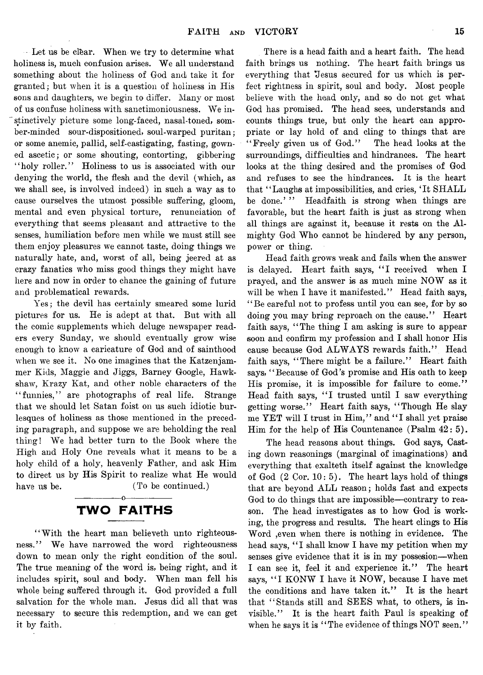Let us be clbar. When we try to determine what holiness is, much confusion arises. We all understand something about the holiness of God and take it for granted; but when it is a question of holiness in His sons and daughters, we begin to differ. Many or most of us confuse holiness with sanctimoniousness. We instinctively picture some long-faced, nasal-toned, somber-minded sour-dispositioned, soul-warped puritan; or some anemic, pallid, self-castigating, fasting, gowned ascetic; or some shouting, contorting, gibbering "holy roller." Holiness to us is associated with our denying the world, the flesh and the devil (which, as we shall see, is involved indeed) in such a way as to cause ourselves the utmost possible suffering, gloom, mental and even physical torture, renunciation of everything that seems pleasant and attractive to the senses, humiliation before men while we must still see them enjoy pleasures we cannot taste, doing things we naturally hate, and, worst of all, being jeered at as crazy fanatics who miss good things they might have here and now in order to chance the gaining of future and problematical rewards.

Yes; the devil has certainly smeared some lurid pictures for us. He is adept at that. But with all the comic supplements which deluge newspaper readers every Sunday, we should eventually grow wise enough to know a caricature of God and of sainthood when we see it. No one imagines that the Katzenjammer Kids, Maggie and Jiggs, Barney Google, Hawkshaw, Krazy Kat, and other noble characters of the "funnies," are photographs of real life. Strange that we should let Satan foist on us such idiotic burlesques of holiness as those mentioned in the preceding paragraph, and suppose we are beholding the real thing! We had better turn to the Book where the High and Holy One reveals what it means to be a holy child of a holy, heavenly Father, and ask Him to direct us by His Spirit to realize what He would have us be. (To be continued.)

#### -----------------o----------------- **TWO FAITHS**

" With the heart man believeth unto righteousness." We have narrowed the word righteousness down to mean only the right condition of the soul. The true meaning of the word is, being right, and it includes spirit, soul and body. When man fell his whole being suffered through it. God provided a full salvation for the whole man. Jesus did all that was necessary to secure this redemption, and we can get it by faith.

There is a head faith and a heart faith. The head faith brings us nothing. The heart faith brings us everything that Jesus secured for us which is perfect rightness in spirit, soul and body. Most people believe with the head only, and so do not get what God has promised. The head sees, understands and counts things true, but only the heart can appropriate or lay hold of and cling to things that are "Freely given us of God." The head looks at the surroundings, difficulties and hindrances. The heart looks at the thing desired and the promises of God and refuses to see the hindrances. It is the heart that " Laughs at impossibilities, and cries, ' It SHALL be done."" Headfaith is strong when things are favorable, but the heart faith is just as strong when all things are against it, because it rests on the Almighty God Who cannot be hindered by any person, power or thing.

Head faith grows weak and fails when the answer is delayed. Heart faith says, "I received when I prayed, and the answer is as much mine NOW as it will be when I have it manifested." Head faith says, " Be careful not to profess until you can see, for by so doing you may bring reproach on the cause." Heart faith says, " The thing I am asking is sure to appear soon and confirm my profession and I shall honor His cause because God ALWAYS rewards faith." Head faith says, "There might be a failure." Heart faith says, " Because of God's promise and His oath to keep His promise, it is impossible for failure to come." Head faith says, "I trusted until I saw everything getting worse." Heart faith says, " Though He slay me YET will I trust in Him," and " I shall yet praise Him for the help of His Countenance (Psalm 42: 5).

The head reasons about things. God says, Casting down reasonings (marginal of imaginations) and everything that exalteth itself against the knowledge of God  $(2 \text{ Cor. } 10: 5)$ . The heart lays hold of things that are beyond ALL reason; holds fast and expects God to do things that are impossible— contrary to reason. The head investigates as to how God is working, the progress and results. The heart clings to His Word ,even when there is nothing in evidence. The head says, "I shall know I have my petition when my senses give evidence that it is in my possesion—when I can see it, feel it and experience it." The heart says, "I KONW I have it NOW, because I have met the conditions and have taken it." It is the heart that " Stands still and SEES what, to others, is invisible." It is the heart faith Paul is speaking of when he says it is "The evidence of things NOT seen."